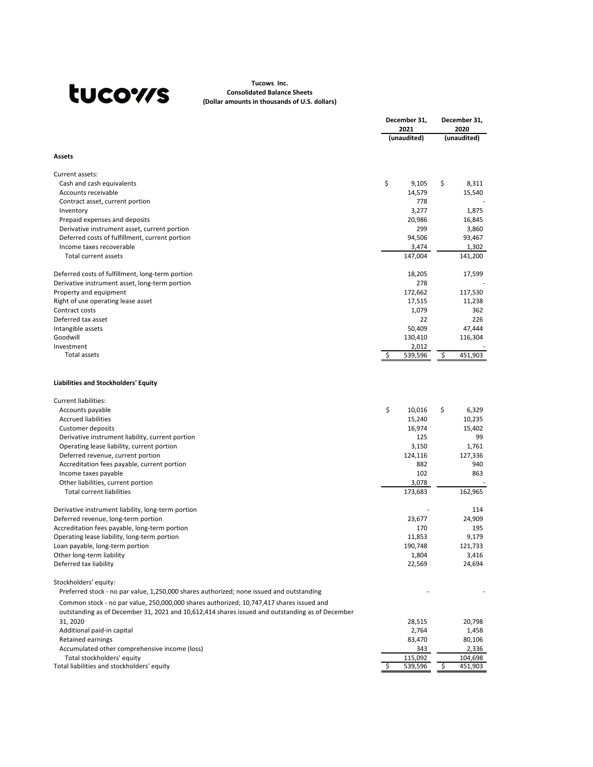|                                                    | December 31,<br>2021 | December 31,<br>2020 |  |
|----------------------------------------------------|----------------------|----------------------|--|
|                                                    | (unaudited)          | (unaudited)          |  |
| <b>Assets</b>                                      |                      |                      |  |
| Current assets:                                    |                      |                      |  |
| Cash and cash equivalents                          | \$<br>9,105          | \$<br>8,311          |  |
| Accounts receivable                                | 14,579               | 15,540               |  |
| Contract asset, current portion                    | 778                  |                      |  |
| Inventory                                          | 3,277                | 1,875                |  |
| Prepaid expenses and deposits                      | 20,986               | 16,845               |  |
| Derivative instrument asset, current portion       | 299                  | 3,860                |  |
| Deferred costs of fulfillment, current portion     | 94,506               | 93,467               |  |
| Income taxes recoverable                           | 3,474                | 1,302                |  |
| <b>Total current assets</b>                        | 147,004              | 141,200              |  |
| Deferred costs of fulfillment, long-term portion   | 18,205               | 17,599               |  |
| Derivative instrument asset, long-term portion     | 278                  |                      |  |
| Property and equipment                             | 172,662              | 117,530              |  |
| Right of use operating lease asset                 | 17,515               | 11,238               |  |
| Contract costs                                     | 1,079                | 362                  |  |
| Deferred tax asset                                 | 22                   | 226                  |  |
| Intangible assets                                  | 50,409               | 47,444               |  |
| Goodwill                                           | 130,410              | 116,304              |  |
| Investment                                         | 2,012                |                      |  |
| <b>Total assets</b>                                | 539,596              | \$<br>451,903        |  |
| Liabilities and Stockholders' Equity               |                      |                      |  |
| Current liabilities:                               |                      |                      |  |
| Accounts payable                                   | \$<br>10,016         | 6,329<br>\$          |  |
| <b>Accrued liabilities</b>                         | 15,240               | 10,235               |  |
| Customer deposits                                  | 16,974               | 15,402               |  |
| Derivative instrument liability, current portion   | 125                  | 99                   |  |
| Operating lease liability, current portion         | 3,150                | 1,761                |  |
| Deferred revenue, current portion                  | 124,116              | 127,336              |  |
| Accreditation fees payable, current portion        | 882                  | 940                  |  |
| Income taxes payable                               | 102                  | 863                  |  |
| Other liabilities, current portion                 | 3,078                |                      |  |
| <b>Total current liabilities</b>                   | 173,683              | 162,965              |  |
| Derivative instrument liability, long-term portion |                      | 114                  |  |
| Deferred revenue, long-term portion                | 23,677               | 24,909               |  |
| Accreditation fees payable, long-term portion      | 170                  | 195                  |  |
| Operating lease liability, long-term portion       | 11,853               | 9,179                |  |
| Loan payable, long-term portion                    | 190,748              | 121,733              |  |
| Other long-term liability                          | 1,804                | 3,416                |  |
| Deferred tax liability                             | 22,569               | 24,694               |  |

Common stock - no par value, 250,000,000 shares authorized; 10,747,417 shares issued and outstanding as of December 31, 2021 and 10,612,414 shares issued and outstanding as of December 31, 2020 28,515 20,798 Additional paid-in capital and the control of the control of the control of the control of the control of the control of the control of the control of the control of the control of the control of the control of the control Retained earnings 80,106 Accumulated other comprehensive income (loss) 343 343 2,336 al liabilities and stockholders' equity<br>
al liabilities and stockholders' equity<br>
Total stockholders' equity<br>
al liabilities and stockholders' equity Total liabilities and stockholders' equity  $\frac{1}{5}$   $\frac{539,596}{5}$ 

Stockholders' equity:

Preferred stock - no par value, 1,250,000 shares authorized; none issued and outstanding

# tucows

## **Tucows Inc. Consolidated Balance Sheets (Dollar amounts in thousands of U.S. dollars)**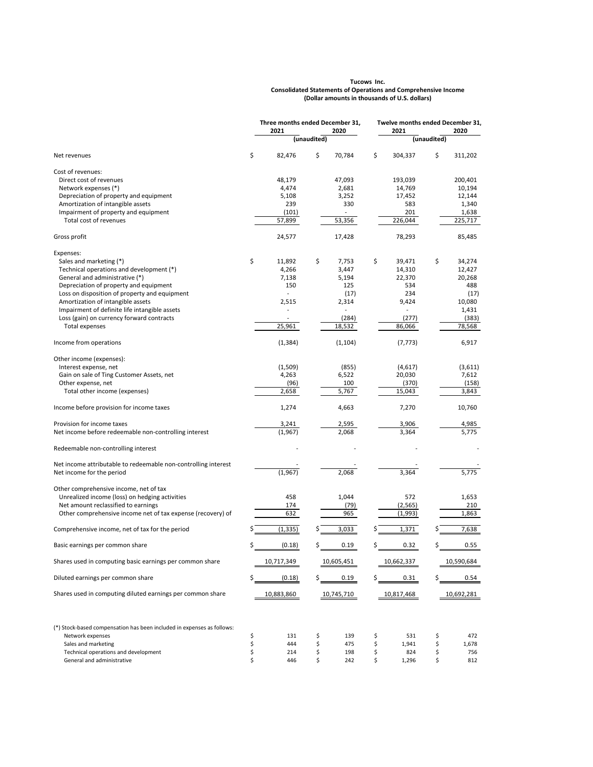|                                                                | Three months ended December 31,<br>2021<br>2020 |          | Twelve months ended December 31,<br>2021<br>2020 |          |    |          |             |         |
|----------------------------------------------------------------|-------------------------------------------------|----------|--------------------------------------------------|----------|----|----------|-------------|---------|
|                                                                |                                                 |          | (unaudited)                                      |          |    |          | (unaudited) |         |
| Net revenues                                                   | \$                                              | 82,476   | \$                                               | 70,784   | \$ | 304,337  | \$          | 311,202 |
| Cost of revenues:                                              |                                                 |          |                                                  |          |    |          |             |         |
| Direct cost of revenues                                        |                                                 | 48,179   |                                                  | 47,093   |    | 193,039  |             | 200,401 |
| Network expenses (*)                                           |                                                 | 4,474    |                                                  | 2,681    |    | 14,769   |             | 10,194  |
| Depreciation of property and equipment                         |                                                 | 5,108    |                                                  | 3,252    |    | 17,452   |             | 12,144  |
| Amortization of intangible assets                              |                                                 | 239      |                                                  | 330      |    | 583      |             | 1,340   |
| Impairment of property and equipment                           |                                                 | (101)    |                                                  |          |    | 201      |             | 1,638   |
| Total cost of revenues                                         |                                                 | 57,899   |                                                  | 53,356   |    | 226,044  |             | 225,717 |
| Gross profit                                                   |                                                 | 24,577   |                                                  | 17,428   |    | 78,293   |             | 85,485  |
| Expenses:                                                      |                                                 |          |                                                  |          |    |          |             |         |
| Sales and marketing (*)                                        | \$                                              | 11,892   | \$                                               | 7,753    | \$ | 39,471   | \$          | 34,274  |
| Technical operations and development (*)                       |                                                 | 4,266    |                                                  | 3,447    |    | 14,310   |             | 12,427  |
| General and administrative (*)                                 |                                                 | 7,138    |                                                  | 5,194    |    | 22,370   |             | 20,268  |
| Depreciation of property and equipment                         |                                                 | 150      |                                                  | 125      |    | 534      |             | 488     |
| Loss on disposition of property and equipment                  |                                                 |          |                                                  | (17)     |    | 234      |             | (17)    |
| Amortization of intangible assets                              |                                                 | 2,515    |                                                  | 2,314    |    | 9,424    |             | 10,080  |
| Impairment of definite life intangible assets                  |                                                 |          |                                                  |          |    |          |             | 1,431   |
| Loss (gain) on currency forward contracts                      |                                                 |          |                                                  | (284)    |    | (277)    |             | (383)   |
| Total expenses                                                 |                                                 | 25,961   |                                                  | 18,532   |    | 86,066   |             | 78,568  |
| Income from operations                                         |                                                 | (1, 384) |                                                  | (1, 104) |    | (7, 773) |             | 6,917   |
| Other income (expenses):                                       |                                                 |          |                                                  |          |    |          |             |         |
| Interest expense, net                                          |                                                 | (1, 509) |                                                  | (855)    |    | (4,617)  |             | (3,611) |
| Gain on sale of Ting Customer Assets, net                      |                                                 | 4,263    |                                                  | 6,522    |    | 20,030   |             | 7,612   |
| Other expense, net                                             |                                                 | (96)     |                                                  | 100      |    | (370)    |             | (158)   |
| Total other income (expenses)                                  |                                                 | 2,658    |                                                  | 5,767    |    | 15,043   |             | 3,843   |
| Income before provision for income taxes                       |                                                 | 1,274    |                                                  | 4,663    |    | 7,270    |             | 10,760  |
| Provision for income taxes                                     |                                                 | 3,241    |                                                  | 2,595    |    | 3,906    |             | 4,985   |
| Net income before redeemable non-controlling interest          |                                                 | (1,967)  |                                                  | 2,068    |    | 3,364    |             | 5,775   |
| Redeemable non-controlling interest                            |                                                 |          |                                                  |          |    |          |             |         |
| Net income attributable to redeemable non-controlling interest |                                                 |          |                                                  |          |    |          |             |         |
| Net income for the period                                      |                                                 | (1,967)  |                                                  | 2,068    |    | 3,364    |             | 5,775   |
| Other comprehensive income, net of tax                         |                                                 |          |                                                  |          |    |          |             |         |
| Unrealized income (loss) on hedging activities                 |                                                 | 458      |                                                  | 1,044    |    | 572      |             | 1,653   |
| Net amount reclassified to earnings                            |                                                 | 174      |                                                  | (79)     |    | (2, 565) |             | 210     |
| Other comprehensive income net of tax expense (recovery) of    |                                                 | 632      |                                                  | 965      |    | (1,993)  |             | 1,863   |
| Comprehensive income, net of tax for the period                |                                                 | (1, 335) |                                                  | 3,033    |    | 1,371    |             | 7,638   |
| Basic earnings per common share                                |                                                 | (0.18)   | \$                                               | 0.19     | \$ | 0.32     |             | 0.55    |

Shares used in computing basic earnings per common share <br>10,717,349 10,605,451 10,662,337 10,590,684 Diluted earnings per common share  $\zeta$  and  $\zeta$  and  $\zeta$  and  $\zeta$  and  $\zeta$  and  $\zeta$  and  $\zeta$  and  $\zeta$  and  $\zeta$  and  $\zeta$  and  $\zeta$  and  $\zeta$  and  $\zeta$  and  $\zeta$  and  $\zeta$  and  $\zeta$  and  $\zeta$  and  $\zeta$  and  $\zeta$  a Shares used in computing diluted earnings per common share <br>10,883,860 10,745,710 10,817,468 10,692,281 (\*) Stock-based compensation has been included in expenses as follows: Network expenses and the set of the set of the set of the set of the set of the set of the set of the set of the set of the set of the set of the set of the set of the set of the set of the set of the set of the set of the Sales and marketing \$ 444 \$ 475 \$ 1,941 \$ 1,678 Technical operations and development Technical operations and development the state of the state of the state of the state of the state of the state of the state of the state of the state of the state of the state of the s General and administrative and the state of  $\frac{1}{5}$  and  $\frac{1}{5}$  and  $\frac{1}{5}$  and  $\frac{1}{5}$  and  $\frac{1}{5}$  and  $\frac{1}{5}$  and  $\frac{1}{5}$  and  $\frac{1}{5}$  and  $\frac{1}{5}$  and  $\frac{1}{5}$  and  $\frac{1}{5}$  and  $\frac{1}{5}$  and  $\frac{1}{5}$ 

### **Tucows Inc. Consolidated Statements of Operations and Comprehensive Income (Dollar amounts in thousands of U.S. dollars)**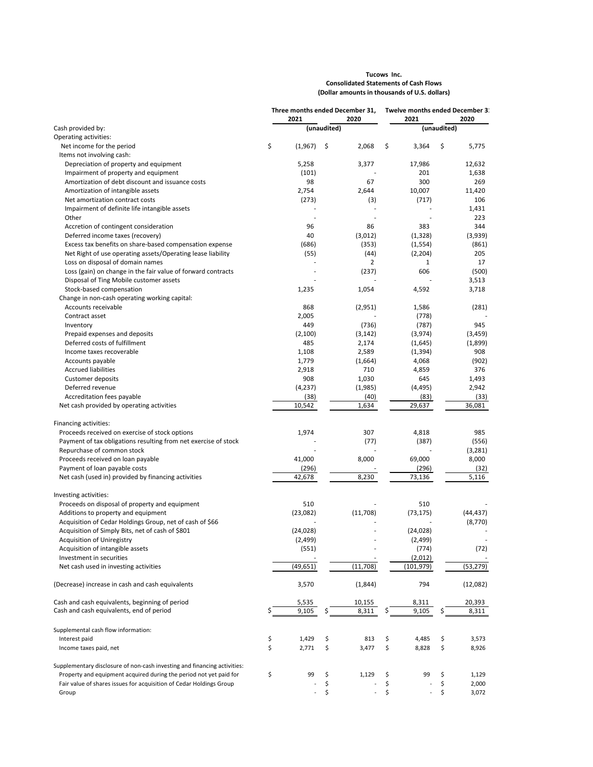## **Tucows Inc. Consolidated Statements of Cash Flows (Dollar amounts in thousands of U.S. dollars)**

|                                                                                            | Three months ended December 31,<br>2021<br>2020 |                              | Twelve months ended December 3:<br>2021<br>2020 |                          |             |                          |    |                 |
|--------------------------------------------------------------------------------------------|-------------------------------------------------|------------------------------|-------------------------------------------------|--------------------------|-------------|--------------------------|----|-----------------|
| Cash provided by:                                                                          |                                                 |                              | (unaudited)                                     |                          | (unaudited) |                          |    |                 |
| <b>Operating activities:</b>                                                               |                                                 |                              |                                                 |                          |             |                          |    |                 |
| Net income for the period                                                                  | \$                                              | (1,967)                      | \$                                              | 2,068                    | \$          | 3,364                    | \$ | 5,775           |
| Items not involving cash:                                                                  |                                                 |                              |                                                 |                          |             |                          |    |                 |
| Depreciation of property and equipment                                                     |                                                 | 5,258                        |                                                 | 3,377                    |             | 17,986                   |    | 12,632          |
| Impairment of property and equipment                                                       |                                                 | (101)                        |                                                 |                          |             | 201                      |    | 1,638           |
| Amortization of debt discount and issuance costs                                           |                                                 | 98                           |                                                 | 67                       |             | 300                      |    | 269             |
| Amortization of intangible assets                                                          |                                                 | 2,754                        |                                                 | 2,644                    |             | 10,007                   |    | 11,420          |
| Net amortization contract costs                                                            |                                                 | (273)                        |                                                 | (3)                      |             | (717)                    |    | 106             |
| Impairment of definite life intangible assets                                              |                                                 |                              |                                                 |                          |             |                          |    | 1,431           |
| Other                                                                                      |                                                 |                              |                                                 |                          |             |                          |    | 223             |
| Accretion of contingent consideration                                                      |                                                 | 96                           |                                                 | 86                       |             | 383                      |    | 344             |
| Deferred income taxes (recovery)                                                           |                                                 | 40                           |                                                 | (3,012)                  |             | (1, 328)                 |    | (3,939)         |
| Excess tax benefits on share-based compensation expense                                    |                                                 | (686)                        |                                                 | (353)                    |             | (1, 554)                 |    | (861)           |
| Net Right of use operating assets/Operating lease liability                                |                                                 | (55)                         |                                                 | (44)                     |             | (2, 204)                 |    | 205             |
| Loss on disposal of domain names                                                           |                                                 |                              |                                                 | 2                        |             | 1                        |    | 17              |
| Loss (gain) on change in the fair value of forward contracts                               |                                                 |                              |                                                 | (237)                    |             | 606                      |    | (500)           |
| Disposal of Ting Mobile customer assets                                                    |                                                 |                              |                                                 |                          |             |                          |    | 3,513           |
| Stock-based compensation                                                                   |                                                 | 1,235                        |                                                 | 1,054                    |             | 4,592                    |    | 3,718           |
| Change in non-cash operating working capital:                                              |                                                 |                              |                                                 |                          |             |                          |    |                 |
| Accounts receivable                                                                        |                                                 | 868                          |                                                 | (2,951)                  |             | 1,586                    |    | (281)           |
| Contract asset                                                                             |                                                 | 2,005                        |                                                 |                          |             | (778)                    |    |                 |
| Inventory                                                                                  |                                                 | 449                          |                                                 | (736)                    |             | (787)                    |    | 945             |
| Prepaid expenses and deposits                                                              |                                                 | (2, 100)                     |                                                 | (3, 142)                 |             | (3,974)                  |    | (3, 459)        |
| Deferred costs of fulfillment                                                              |                                                 | 485                          |                                                 | 2,174                    |             | (1,645)                  |    | (1,899)         |
| Income taxes recoverable                                                                   |                                                 | 1,108                        |                                                 | 2,589                    |             | (1, 394)                 |    | 908             |
| Accounts payable                                                                           |                                                 | 1,779                        |                                                 | (1,664)                  |             | 4,068                    |    | (902)           |
| <b>Accrued liabilities</b>                                                                 |                                                 | 2,918                        |                                                 | 710                      |             | 4,859                    |    | 376             |
| Customer deposits                                                                          |                                                 | 908                          |                                                 | 1,030                    |             | 645                      |    | 1,493           |
| Deferred revenue                                                                           |                                                 | (4, 237)                     |                                                 | (1,985)                  |             | (4, 495)                 |    | 2,942           |
| Accreditation fees payable                                                                 |                                                 | (38)                         |                                                 | (40)                     |             | (83)                     |    | (33)            |
| Net cash provided by operating activities                                                  |                                                 | 10,542                       |                                                 | 1,634                    |             | 29,637                   |    | 36,081          |
|                                                                                            |                                                 |                              |                                                 |                          |             |                          |    |                 |
| Financing activities:                                                                      |                                                 |                              |                                                 |                          |             |                          |    |                 |
| Proceeds received on exercise of stock options                                             |                                                 | 1,974                        |                                                 | 307                      |             | 4,818                    |    | 985             |
| Payment of tax obligations resulting from net exercise of stock                            |                                                 |                              |                                                 | (77)                     |             | (387)                    |    | (556)           |
| Repurchase of common stock                                                                 |                                                 |                              |                                                 |                          |             |                          |    | (3, 281)        |
| Proceeds received on loan payable                                                          |                                                 | 41,000                       |                                                 | 8,000                    |             | 69,000                   |    | 8,000           |
| Payment of loan payable costs                                                              |                                                 | (296)                        |                                                 |                          |             | (296)                    |    | (32)            |
| Net cash (used in) provided by financing activities                                        |                                                 | 42,678                       |                                                 | 8,230                    |             | 73,136                   |    | 5,116           |
|                                                                                            |                                                 |                              |                                                 |                          |             |                          |    |                 |
| Investing activities:                                                                      |                                                 |                              |                                                 |                          |             |                          |    |                 |
| Proceeds on disposal of property and equipment                                             |                                                 | 510                          |                                                 |                          |             | 510                      |    |                 |
| Additions to property and equipment                                                        |                                                 | (23,082)                     |                                                 | (11,708)                 |             | (73, 175)                |    | (44, 437)       |
| Acquisition of Cedar Holdings Group, net of cash of \$66                                   |                                                 |                              |                                                 |                          |             |                          |    | (8,770)         |
| Acquisition of Simply Bits, net of cash of \$801                                           |                                                 | (24, 028)                    |                                                 |                          |             | (24, 028)                |    |                 |
| <b>Acquisition of Uniregistry</b>                                                          |                                                 | (2, 499)                     |                                                 |                          |             | (2,499)                  |    |                 |
| Acquisition of intangible assets                                                           |                                                 | (551)                        |                                                 |                          |             | (774)                    |    | (72)            |
| Investment in securities                                                                   |                                                 |                              |                                                 |                          |             | (2,012)                  |    |                 |
| Net cash used in investing activities                                                      |                                                 | (49, 651)                    |                                                 | (11, 708)                |             | (101, 979)               |    | (53, 279)       |
| (Decrease) increase in cash and cash equivalents                                           |                                                 | 3,570                        |                                                 | (1,844)                  |             | 794                      |    | (12,082)        |
|                                                                                            |                                                 |                              |                                                 |                          |             |                          |    |                 |
| Cash and cash equivalents, beginning of period<br>Cash and cash equivalents, end of period |                                                 | 5,535<br>9,105               |                                                 | 10,155<br>8,311          | S           | 8,311<br>9,105           | S  | 20,393<br>8,311 |
|                                                                                            |                                                 |                              |                                                 |                          |             |                          |    |                 |
| Supplemental cash flow information:                                                        |                                                 |                              |                                                 |                          |             |                          |    |                 |
| Interest paid                                                                              | \$                                              | 1,429                        | \$                                              | 813                      | \$          | 4,485                    | \$ | 3,573           |
| Income taxes paid, net                                                                     | \$                                              | 2,771                        | \$                                              | 3,477                    | \$          | 8,828                    | \$ | 8,926           |
| Supplementary disclosure of non-cash investing and financing activities:                   |                                                 |                              |                                                 |                          |             |                          |    |                 |
| Property and equipment acquired during the period not yet paid for                         | \$                                              | 99                           | \$                                              | 1,129                    | \$          | 99                       | \$ | 1,129           |
| Fair value of shares issues for acquisition of Cedar Holdings Group                        |                                                 |                              | \$                                              |                          | \$          |                          | \$ | 2,000           |
| Group                                                                                      |                                                 | $\qquad \qquad \blacksquare$ | \$                                              | $\overline{\phantom{a}}$ | \$          | $\overline{\phantom{a}}$ | \$ | 3,072           |
|                                                                                            |                                                 |                              |                                                 |                          |             |                          |    |                 |